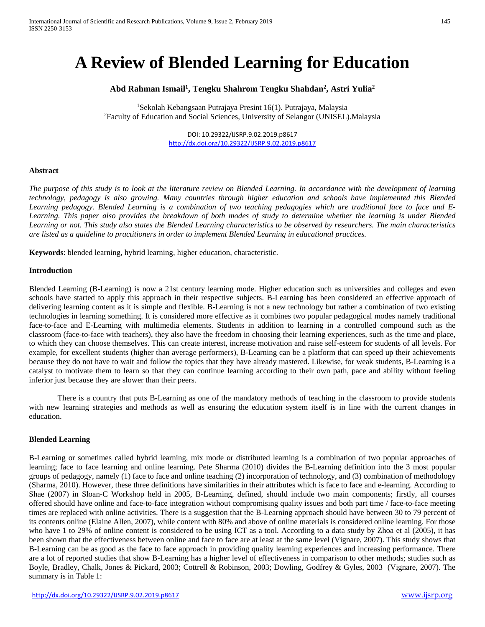# **A Review of Blended Learning for Education**

# **Abd Rahman Ismail1 , Tengku Shahrom Tengku Shahdan2 , Astri Yulia2**

<sup>1</sup>Sekolah Kebangsaan Putrajaya Presint 16(1). Putrajaya, Malaysia<br><sup>2</sup>Eaculty of Education and Social Sciences, University of Selangor (UNISEL) Faculty of Education and Social Sciences, University of Selangor (UNISEL).Malaysia

> DOI: 10.29322/IJSRP.9.02.2019.p8617 <http://dx.doi.org/10.29322/IJSRP.9.02.2019.p8617>

#### **Abstract**

*The purpose of this study is to look at the literature review on Blended Learning. In accordance with the development of learning technology, pedagogy is also growing. Many countries through higher education and schools have implemented this Blended Learning pedagogy. Blended Learning is a combination of two teaching pedagogies which are traditional face to face and E-Learning. This paper also provides the breakdown of both modes of study to determine whether the learning is under Blended Learning or not. This study also states the Blended Learning characteristics to be observed by researchers. The main characteristics are listed as a guideline to practitioners in order to implement Blended Learning in educational practices.*

**Keywords**: blended learning, hybrid learning, higher education, characteristic.

#### **Introduction**

Blended Learning (B-Learning) is now a 21st century learning mode. Higher education such as universities and colleges and even schools have started to apply this approach in their respective subjects. B-Learning has been considered an effective approach of delivering learning content as it is simple and flexible. B-Learning is not a new technology but rather a combination of two existing technologies in learning something. It is considered more effective as it combines two popular pedagogical modes namely traditional face-to-face and E-Learning with multimedia elements. Students in addition to learning in a controlled compound such as the classroom (face-to-face with teachers), they also have the freedom in choosing their learning experiences, such as the time and place, to which they can choose themselves. This can create interest, increase motivation and raise self-esteem for students of all levels. For example, for excellent students (higher than average performers), B-Learning can be a platform that can speed up their achievements because they do not have to wait and follow the topics that they have already mastered. Likewise, for weak students, B-Learning is a catalyst to motivate them to learn so that they can continue learning according to their own path, pace and ability without feeling inferior just because they are slower than their peers.

There is a country that puts B-Learning as one of the mandatory methods of teaching in the classroom to provide students with new learning strategies and methods as well as ensuring the education system itself is in line with the current changes in education.

#### **Blended Learning**

B-Learning or sometimes called hybrid learning, mix mode or distributed learning is a combination of two popular approaches of learning; face to face learning and online learning. Pete Sharma (2010) divides the B-Learning definition into the 3 most popular groups of pedagogy, namely (1) face to face and online teaching (2) incorporation of technology, and (3) combination of methodology (Sharma, 2010). However, these three definitions have similarities in their attributes which is face to face and e-learning. According to Shae (2007) in Sloan-C Workshop held in 2005, B-Learning, defined, should include two main components; firstly, all courses offered should have online and face-to-face integration without compromising quality issues and both part time / face-to-face meeting times are replaced with online activities. There is a suggestion that the B-Learning approach should have between 30 to 79 percent of its contents online (Elaine Allen, 2007), while content with 80% and above of online materials is considered online learning. For those who have 1 to 29% of online content is considered to be using ICT as a tool. According to a data study by Zhoa et al (2005), it has been shown that the effectiveness between online and face to face are at least at the same level (Vignare, 2007). This study shows that B-Learning can be as good as the face to face approach in providing quality learning experiences and increasing performance. There are a lot of reported studies that show B-Learning has a higher level of effectiveness in comparison to other methods; studies such as Boyle, Bradley, Chalk, Jones & Pickard, 2003; Cottrell & Robinson, 2003; Dowling, Godfrey & Gyles, 2003 (Vignare, 2007). The summary is in Table 1: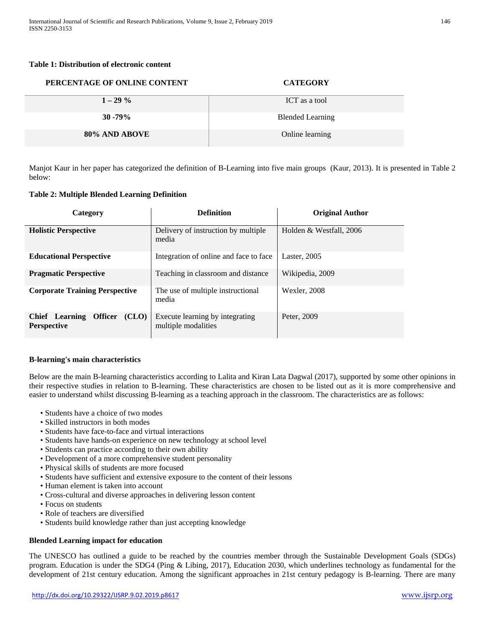#### **Table 1: Distribution of electronic content**

| PERCENTAGE OF ONLINE CONTENT | <b>CATEGORY</b>         |
|------------------------------|-------------------------|
| $1 - 29\%$                   | ICT as a tool           |
| $30 - 79\%$                  | <b>Blended Learning</b> |
| 80% AND ABOVE                | Online learning         |

Manjot Kaur in her paper has categorized the definition of B-Learning into five main groups (Kaur, 2013). It is presented in Table 2 below:

### **Table 2: Multiple Blended Learning Definition**

| Category                                                               | <b>Definition</b>                                      | <b>Original Author</b>  |
|------------------------------------------------------------------------|--------------------------------------------------------|-------------------------|
| <b>Holistic Perspective</b>                                            | Delivery of instruction by multiple<br>media           | Holden & Westfall, 2006 |
| <b>Educational Perspective</b>                                         | Integration of online and face to face.                | Laster, 2005            |
| <b>Pragmatic Perspective</b>                                           | Teaching in classroom and distance                     | Wikipedia, 2009         |
| <b>Corporate Training Perspective</b>                                  | The use of multiple instructional<br>media             | Wexler, 2008            |
| <b>Chief</b> Learning<br><b>Officer</b><br>(CLO)<br><b>Perspective</b> | Execute learning by integrating<br>multiple modalities | Peter, 2009             |

### **B-learning's main characteristics**

Below are the main B-learning characteristics according to Lalita and Kiran Lata Dagwal (2017), supported by some other opinions in their respective studies in relation to B-learning. These characteristics are chosen to be listed out as it is more comprehensive and easier to understand whilst discussing B-learning as a teaching approach in the classroom. The characteristics are as follows:

- Students have a choice of two modes
- Skilled instructors in both modes
- Students have face-to-face and virtual interactions
- Students have hands-on experience on new technology at school level
- Students can practice according to their own ability
- Development of a more comprehensive student personality
- Physical skills of students are more focused
- Students have sufficient and extensive exposure to the content of their lessons
- Human element is taken into account
- Cross-cultural and diverse approaches in delivering lesson content
- Focus on students
- Role of teachers are diversified
- Students build knowledge rather than just accepting knowledge

### **Blended Learning impact for education**

The UNESCO has outlined a guide to be reached by the countries member through the Sustainable Development Goals (SDGs) program. Education is under the SDG4 (Ping & Libing, 2017), Education 2030, which underlines technology as fundamental for the development of 21st century education. Among the significant approaches in 21st century pedagogy is B-learning. There are many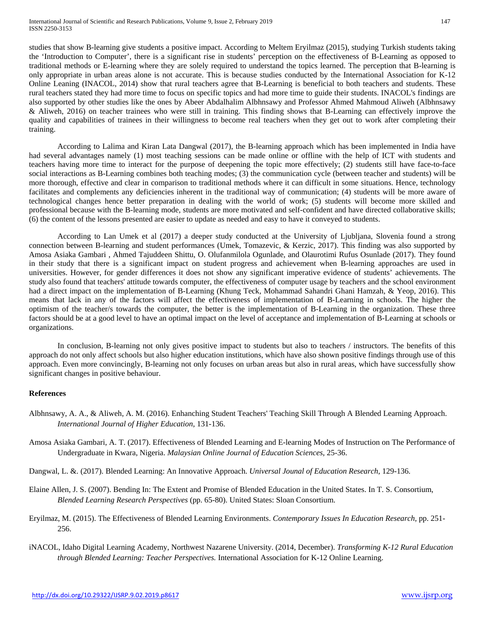studies that show B-learning give students a positive impact. According to Meltem Eryilmaz (2015), studying Turkish students taking the 'Introduction to Computer', there is a significant rise in students' perception on the effectiveness of B-Learning as opposed to traditional methods or E-learning where they are solely required to understand the topics learned. The perception that B-learning is only appropriate in urban areas alone is not accurate. This is because studies conducted by the International Association for K-12 Online Leaning (INACOL, 2014) show that rural teachers agree that B-Learning is beneficial to both teachers and students. These rural teachers stated they had more time to focus on specific topics and had more time to guide their students. INACOL's findings are also supported by other studies like the ones by Abeer Abdalhalim Albhnsawy and Professor Ahmed Mahmoud Aliweh (Albhnsawy & Aliweh, 2016) on teacher trainees who were still in training. This finding shows that B-Learning can effectively improve the quality and capabilities of trainees in their willingness to become real teachers when they get out to work after completing their training.

According to Lalima and Kiran Lata Dangwal (2017), the B-learning approach which has been implemented in India have had several advantages namely (1) most teaching sessions can be made online or offline with the help of ICT with students and teachers having more time to interact for the purpose of deepening the topic more effectively; (2) students still have face-to-face social interactions as B-Learning combines both teaching modes; (3) the communication cycle (between teacher and students) will be more thorough, effective and clear in comparison to traditional methods where it can difficult in some situations. Hence, technology facilitates and complements any deficiencies inherent in the traditional way of communication; (4) students will be more aware of technological changes hence better preparation in dealing with the world of work; (5) students will become more skilled and professional because with the B-learning mode, students are more motivated and self-confident and have directed collaborative skills; (6) the content of the lessons presented are easier to update as needed and easy to have it conveyed to students.

According to Lan Umek et al (2017) a deeper study conducted at the University of Ljubljana, Slovenia found a strong connection between B-learning and student performances (Umek, Tomazevic, & Kerzic, 2017). This finding was also supported by Amosa Asiaka Gambari , Ahmed Tajuddeen Shittu, O. Olufanmilola Ogunlade, and Olaurotimi Rufus Osunlade (2017). They found in their study that there is a significant impact on student progress and achievement when B-learning approaches are used in universities. However, for gender differences it does not show any significant imperative evidence of students' achievements. The study also found that teachers' attitude towards computer, the effectiveness of computer usage by teachers and the school environment had a direct impact on the implementation of B-Learning (Khung Teck, Mohammad Sahandri Ghani Hamzah, & Yeop, 2016). This means that lack in any of the factors will affect the effectiveness of implementation of B-Learning in schools. The higher the optimism of the teacher/s towards the computer, the better is the implementation of B-Learning in the organization. These three factors should be at a good level to have an optimal impact on the level of acceptance and implementation of B-Learning at schools or organizations.

In conclusion, B-learning not only gives positive impact to students but also to teachers / instructors. The benefits of this approach do not only affect schools but also higher education institutions, which have also shown positive findings through use of this approach. Even more convincingly, B-learning not only focuses on urban areas but also in rural areas, which have successfully show significant changes in positive behaviour.

### **References**

- Albhnsawy, A. A., & Aliweh, A. M. (2016). Enhanching Student Teachers' Teaching Skill Through A Blended Learning Approach. *International Journal of Higher Education*, 131-136.
- Amosa Asiaka Gambari, A. T. (2017). Effectiveness of Blended Learning and E-learning Modes of Instruction on The Performance of Undergraduate in Kwara, Nigeria. *Malaysian Online Journal of Education Sciences*, 25-36.
- Dangwal, L. &. (2017). Blended Learning: An Innovative Approach. *Universal Jounal of Education Research*, 129-136.
- Elaine Allen, J. S. (2007). Bending In: The Extent and Promise of Blended Education in the United States. In T. S. Consortium, *Blended Learning Research Perspectives* (pp. 65-80). United States: Sloan Consortium.
- Eryilmaz, M. (2015). The Effectiveness of Blended Learning Environments. *Contemporary Issues In Education Research*, pp. 251- 256.
- iNACOL, Idaho Digital Learning Academy, Northwest Nazarene University. (2014, December). *Transforming K-12 Rural Education through Blended Learning: Teacher Perspectives.* International Association for K-12 Online Learning.